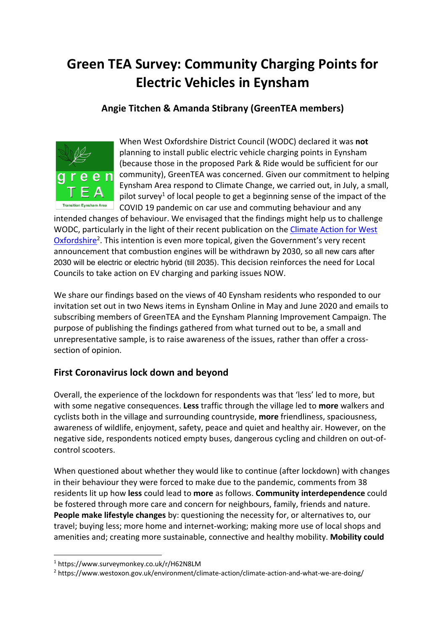# **Green TEA Survey: Community Charging Points for Electric Vehicles in Eynsham**

# **Angie Titchen & Amanda Stibrany (GreenTEA members)**



When West Oxfordshire District Council (WODC) declared it was **not** planning to install public electric vehicle charging points in Eynsham (because those in the proposed Park & Ride would be sufficient for our community), GreenTEA was concerned. Given our commitment to helping Eynsham Area respond to Climate Change, we carried out, in July, a small, pilot survey<sup>1</sup> of local people to get a beginning sense of the impact of the COVID 19 pandemic on car use and commuting behaviour and any

intended changes of behaviour. We envisaged that the findings might help us to challenge WODC, particularly in the light of their recent publication on the Climate Action for West Oxfordshire<sup>2</sup>. This intention is even more topical, given the Government's very recent announcement that combustion engines will be withdrawn by 2030, so all new cars after 2030 will be electric or electric hybrid (till 2035). This decision reinforces the need for Local Councils to take action on EV charging and parking issues NOW.

We share our findings based on the views of 40 Eynsham residents who responded to our invitation set out in two News items in Eynsham Online in May and June 2020 and emails to subscribing members of GreenTEA and the Eynsham Planning Improvement Campaign. The purpose of publishing the findings gathered from what turned out to be, a small and unrepresentative sample, is to raise awareness of the issues, rather than offer a crosssection of opinion.

# **First Coronavirus lock down and beyond**

Overall, the experience of the lockdown for respondents was that 'less' led to more, but with some negative consequences. **Less** traffic through the village led to **more** walkers and cyclists both in the village and surrounding countryside, **more** friendliness, spaciousness, awareness of wildlife, enjoyment, safety, peace and quiet and healthy air. However, on the negative side, respondents noticed empty buses, dangerous cycling and children on out-ofcontrol scooters.

When questioned about whether they would like to continue (after lockdown) with changes in their behaviour they were forced to make due to the pandemic, comments from 38 residents lit up how **less** could lead to **more** as follows. **Community interdependence** could be fostered through more care and concern for neighbours, family, friends and nature. **People make lifestyle changes** by: questioning the necessity for, or alternatives to, our travel; buying less; more home and internet-working; making more use of local shops and amenities and; creating more sustainable, connective and healthy mobility. **Mobility could** 

<sup>1</sup> https://www.surveymonkey.co.uk/r/H62N8LM

<sup>2</sup> https://www.westoxon.gov.uk/environment/climate-action/climate-action-and-what-we-are-doing/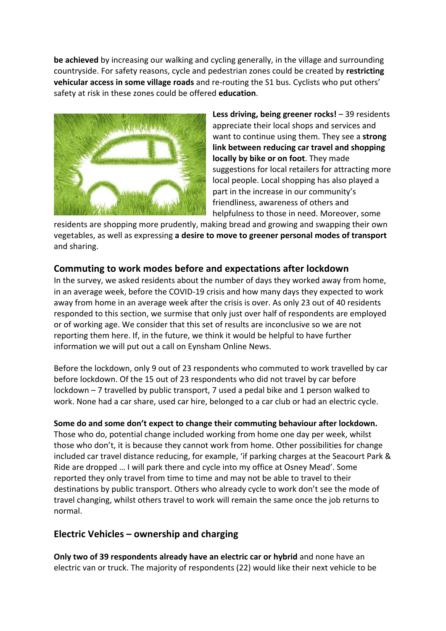**be achieved** by increasing our walking and cycling generally, in the village and surrounding countryside. For safety reasons, cycle and pedestrian zones could be created by **restricting vehicular access in some village roads** and re-routing the S1 bus. Cyclists who put others' safety at risk in these zones could be offered **education**.



Less driving, being greener rocks! – 39 residents appreciate their local shops and services and want to continue using them. They see a **strong link between reducing car travel and shopping locally by bike or on foot**. They made suggestions for local retailers for attracting more local people. Local shopping has also played a part in the increase in our community's friendliness, awareness of others and helpfulness to those in need. Moreover, some

residents are shopping more prudently, making bread and growing and swapping their own vegetables, as well as expressing **a desire to move to greener personal modes of transport** and sharing.

## **Commuting to work modes before and expectations after lockdown**

In the survey, we asked residents about the number of days they worked away from home, in an average week, before the COVID-19 crisis and how many days they expected to work away from home in an average week after the crisis is over. As only 23 out of 40 residents responded to this section, we surmise that only just over half of respondents are employed or of working age. We consider that this set of results are inconclusive so we are not reporting them here. If, in the future, we think it would be helpful to have further information we will put out a call on Eynsham Online News.

Before the lockdown, only 9 out of 23 respondents who commuted to work travelled by car before lockdown. Of the 15 out of 23 respondents who did not travel by car before lockdown – 7 travelled by public transport, 7 used a pedal bike and 1 person walked to work. None had a car share, used car hire, belonged to a car club or had an electric cycle.

#### **Some do and some don't expect to change their commuting behaviour after lockdown.**

Those who do, potential change included working from home one day per week, whilst those who don't, it is because they cannot work from home. Other possibilities for change included car travel distance reducing, for example, 'if parking charges at the Seacourt Park & Ride are dropped … I will park there and cycle into my office at Osney Mead'. Some reported they only travel from time to time and may not be able to travel to their destinations by public transport. Others who already cycle to work don't see the mode of travel changing, whilst others travel to work will remain the same once the job returns to normal.

## **Electric Vehicles – ownership and charging**

**Only two of 39 respondents already have an electric car or hybrid** and none have an electric van or truck. The majority of respondents (22) would like their next vehicle to be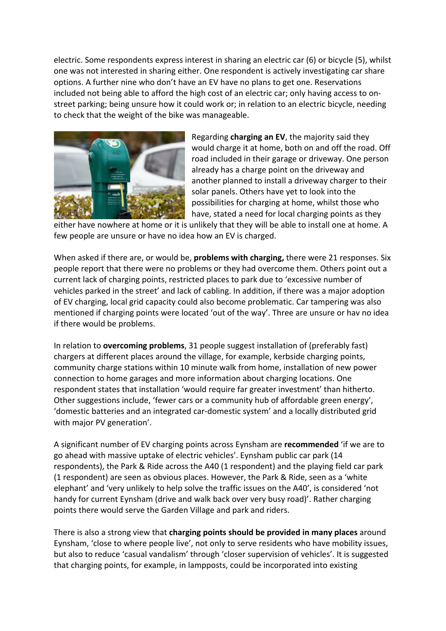electric. Some respondents express interest in sharing an electric car (6) or bicycle (5), whilst one was not interested in sharing either. One respondent is actively investigating car share options. A further nine who don't have an EV have no plans to get one. Reservations included not being able to afford the high cost of an electric car; only having access to onstreet parking; being unsure how it could work or; in relation to an electric bicycle, needing to check that the weight of the bike was manageable.



Regarding **charging an EV**, the majority said they would charge it at home, both on and off the road. Off road included in their garage or driveway. One person already has a charge point on the driveway and another planned to install a driveway charger to their solar panels. Others have yet to look into the possibilities for charging at home, whilst those who have, stated a need for local charging points as they

either have nowhere at home or it is unlikely that they will be able to install one at home. A few people are unsure or have no idea how an EV is charged.

When asked if there are, or would be, **problems with charging,** there were 21 responses. Six people report that there were no problems or they had overcome them. Others point out a current lack of charging points, restricted places to park due to 'excessive number of vehicles parked in the street' and lack of cabling. In addition, if there was a major adoption of EV charging, local grid capacity could also become problematic. Car tampering was also mentioned if charging points were located 'out of the way'. Three are unsure or hav no idea if there would be problems.

In relation to **overcoming problems**, 31 people suggest installation of (preferably fast) chargers at different places around the village, for example, kerbside charging points, community charge stations within 10 minute walk from home, installation of new power connection to home garages and more information about charging locations. One respondent states that installation 'would require far greater investment' than hitherto. Other suggestions include, 'fewer cars or a community hub of affordable green energy', 'domestic batteries and an integrated car-domestic system' and a locally distributed grid with major PV generation'.

A significant number of EV charging points across Eynsham are **recommended** 'if we are to go ahead with massive uptake of electric vehicles'. Eynsham public car park (14 respondents), the Park & Ride across the A40 (1 respondent) and the playing field car park (1 respondent) are seen as obvious places. However, the Park & Ride, seen as a 'white elephant' and 'very unlikely to help solve the traffic issues on the A40', is considered 'not handy for current Eynsham (drive and walk back over very busy road)'. Rather charging points there would serve the Garden Village and park and riders.

There is also a strong view that **charging points should be provided in many places** around Eynsham, 'close to where people live', not only to serve residents who have mobility issues, but also to reduce 'casual vandalism' through 'closer supervision of vehicles'. It is suggested that charging points, for example, in lampposts, could be incorporated into existing